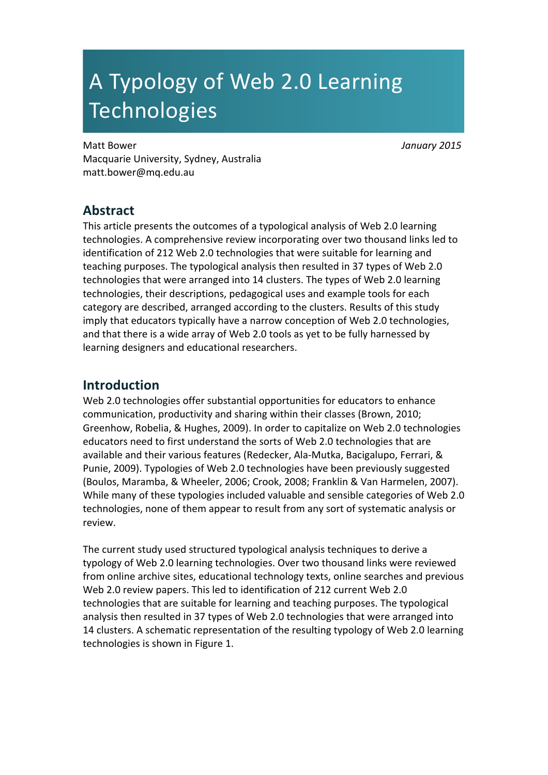# A Typology of Web 2.0 Learning **Technologies**

Matt!Bower *January'2015* Macquarie University, Sydney, Australia matt.bower@mq.edu.au

# **Abstract**

This article presents the outcomes of a typological analysis of Web 2.0 learning technologies. A comprehensive review incorporating over two thousand links led to identification of 212 Web 2.0 technologies that were suitable for learning and teaching purposes. The typological analysis then resulted in 37 types of Web 2.0 technologies that were arranged into 14 clusters. The types of Web 2.0 learning technologies, their descriptions, pedagogical uses and example tools for each category are described, arranged according to the clusters. Results of this study imply that educators typically have a narrow conception of Web 2.0 technologies, and that there is a wide array of Web 2.0 tools as yet to be fully harnessed by learning designers and educational researchers.

# **Introduction**

Web 2.0 technologies offer substantial opportunities for educators to enhance communication, productivity and sharing within their classes (Brown, 2010; Greenhow, Robelia, & Hughes, 2009). In order to capitalize on Web 2.0 technologies educators need to first understand the sorts of Web 2.0 technologies that are available and their various features (Redecker, Ala-Mutka, Bacigalupo, Ferrari, & Punie, 2009). Typologies of Web 2.0 technologies have been previously suggested (Boulos, Maramba, & Wheeler, 2006; Crook, 2008; Franklin & Van Harmelen, 2007). While many of these typologies included valuable and sensible categories of Web 2.0 technologies, none of them appear to result from any sort of systematic analysis or review.

The current study used structured typological analysis techniques to derive a typology of Web 2.0 learning technologies. Over two thousand links were reviewed from online archive sites, educational technology texts, online searches and previous Web 2.0 review papers. This led to identification of 212 current Web 2.0 technologies that are suitable for learning and teaching purposes. The typological analysis then resulted in 37 types of Web 2.0 technologies that were arranged into 14 clusters. A schematic representation of the resulting typology of Web 2.0 learning technologies is shown in Figure 1.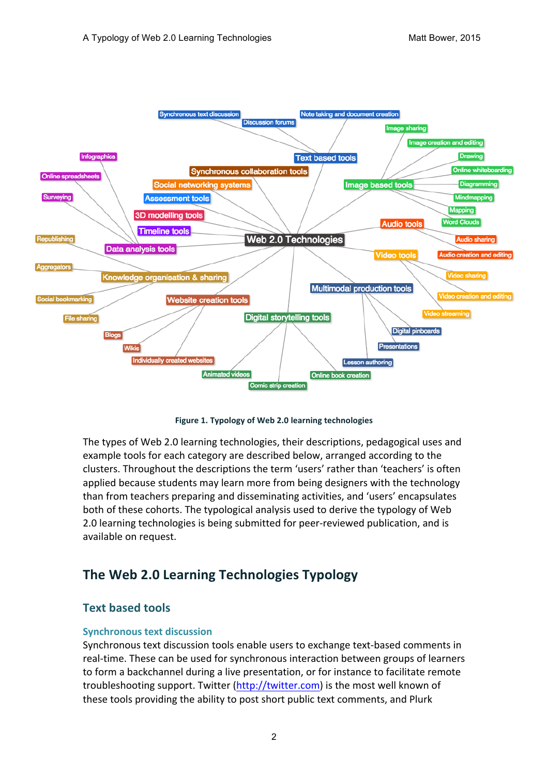

Figure 1. Typology of Web 2.0 learning technologies

The types of Web 2.0 learning technologies, their descriptions, pedagogical uses and example tools for each category are described below, arranged according to the clusters. Throughout the descriptions the term 'users' rather than 'teachers' is often applied because students may learn more from being designers with the technology than from teachers preparing and disseminating activities, and 'users' encapsulates both of these cohorts. The typological analysis used to derive the typology of Web 2.0 learning technologies is being submitted for peer-reviewed publication, and is available on request.

# **The Web 2.0 Learning Technologies Typology**

# **Text based tools**

### **Synchronous text discussion**

Synchronous text discussion tools enable users to exchange text-based comments in real-time. These can be used for synchronous interaction between groups of learners to form a backchannel during a live presentation, or for instance to facilitate remote troubleshooting support. Twitter (http://twitter.com) is the most well known of these tools providing the ability to post short public text comments, and Plurk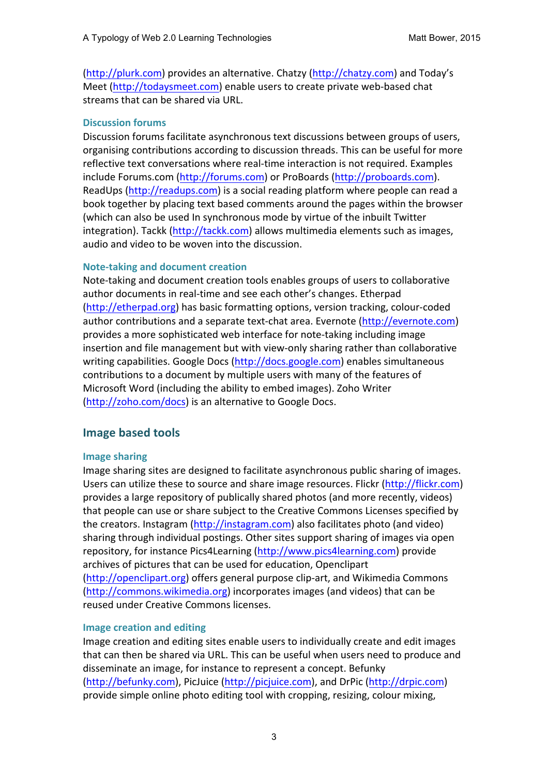(http://plurk.com) provides an alternative. Chatzy (http://chatzy.com) and Today's Meet (http://todaysmeet.com) enable users to create private web-based chat streams that can be shared via URL.

### **Discussion forums**

Discussion forums facilitate asynchronous text discussions between groups of users, organising contributions according to discussion threads. This can be useful for more reflective text conversations where real-time interaction is not required. Examples include Forums.com (http://forums.com) or ProBoards (http://proboards.com). ReadUps (http://readups.com) is a social reading platform where people can read a book together by placing text based comments around the pages within the browser (which can also be used In synchronous mode by virtue of the inbuilt Twitter integration). Tackk (http://tackk.com) allows multimedia elements such as images, audio and video to be woven into the discussion.

#### **Note-taking and document creation**

Note-taking and document creation tools enables groups of users to collaborative author documents in real-time and see each other's changes. Etherpad (http://etherpad.org) has basic formatting options, version tracking, colour-coded author contributions and a separate text-chat area. Evernote (http://evernote.com) provides a more sophisticated web interface for note-taking including image insertion and file management but with view-only sharing rather than collaborative writing capabilities. Google Docs (http://docs.google.com) enables simultaneous contributions to a document by multiple users with many of the features of Microsoft Word (including the ability to embed images). Zoho Writer (http://zoho.com/docs) is an alternative to Google Docs.

# **Image based tools**

### **Image sharing**

Image sharing sites are designed to facilitate asynchronous public sharing of images. Users can utilize these to source and share image resources. Flickr (http://flickr.com) provides a large repository of publically shared photos (and more recently, videos) that people can use or share subject to the Creative Commons Licenses specified by the creators. Instagram (http://instagram.com) also facilitates photo (and video) sharing through individual postings. Other sites support sharing of images via open repository, for instance Pics4Learning (http://www.pics4learning.com) provide archives of pictures that can be used for education, Openclipart (http://openclipart.org) offers general purpose clip-art, and Wikimedia Commons (http://commons.wikimedia.org) incorporates images (and videos) that can be reused under Creative Commons licenses.

### **Image creation and editing**

Image creation and editing sites enable users to individually create and edit images that can then be shared via URL. This can be useful when users need to produce and disseminate an image, for instance to represent a concept. Befunky (http://befunky.com), PicJuice (http://picjuice.com), and DrPic (http://drpic.com) provide simple online photo editing tool with cropping, resizing, colour mixing,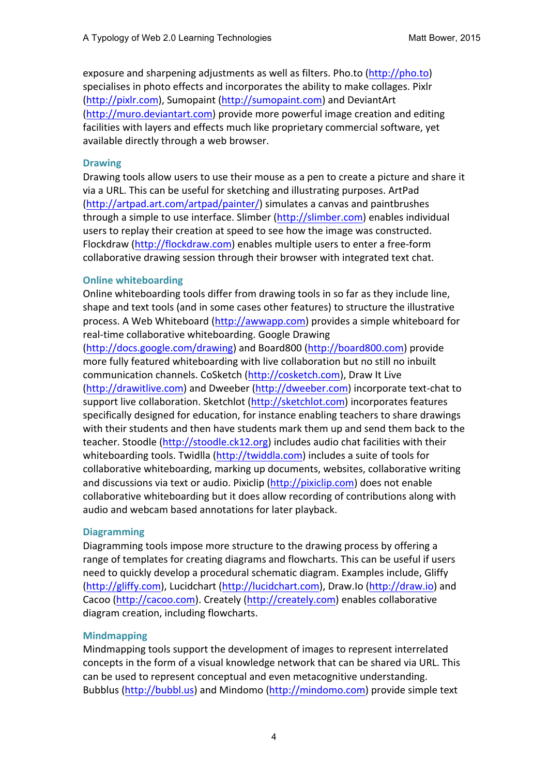exposure and sharpening adjustments as well as filters. Pho.to (http://pho.to) specialises in photo effects and incorporates the ability to make collages. Pixlr (http://pixlr.com), Sumopaint (http://sumopaint.com) and DeviantArt (http://muro.deviantart.com) provide more powerful image creation and editing facilities with layers and effects much like proprietary commercial software, yet available directly through a web browser.

#### **Drawing**

Drawing tools allow users to use their mouse as a pen to create a picture and share it via a URL. This can be useful for sketching and illustrating purposes. ArtPad  $(\text{http://artpad-art.com/artpad/painter/})$  simulates a canvas and paintbrushes through a simple to use interface. Slimber (http://slimber.com) enables individual users to replay their creation at speed to see how the image was constructed. Flockdraw (http://flockdraw.com) enables multiple users to enter a free-form collaborative drawing session through their browser with integrated text chat.

#### **Online whiteboarding**

Online whiteboarding tools differ from drawing tools in so far as they include line, shape and text tools (and in some cases other features) to structure the illustrative process. A Web Whiteboard (http://awwapp.com) provides a simple whiteboard for real-time collaborative whiteboarding. Google Drawing

(http://docs.google.com/drawing)!and!Board800!(http://board800.com)!provide! more fully featured whiteboarding with live collaboration but no still no inbuilt communication channels. CoSketch (http://cosketch.com), Draw It Live (http://drawitlive.com) and Dweeber (http://dweeber.com) incorporate text-chat to support live collaboration. Sketchlot (http://sketchlot.com) incorporates features specifically designed for education, for instance enabling teachers to share drawings with their students and then have students mark them up and send them back to the teacher. Stoodle (http://stoodle.ck12.org) includes audio chat facilities with their whiteboarding tools. Twidlla (http://twiddla.com) includes a suite of tools for collaborative whiteboarding, marking up documents, websites, collaborative writing and discussions via text or audio. Pixiclip (http://pixiclip.com) does not enable collaborative whiteboarding but it does allow recording of contributions along with audio and webcam based annotations for later playback.

### **Diagramming(**

Diagramming tools impose more structure to the drawing process by offering a range of templates for creating diagrams and flowcharts. This can be useful if users need to quickly develop a procedural schematic diagram. Examples include, Gliffy (http://gliffy.com), Lucidchart (http://lucidchart.com), Draw.Io (http://draw.io) and Cacoo (http://cacoo.com). Creately (http://creately.com) enables collaborative diagram creation, including flowcharts.

### **Mindmapping**

Mindmapping tools support the development of images to represent interrelated concepts in the form of a visual knowledge network that can be shared via URL. This can be used to represent conceptual and even metacognitive understanding. Bubblus (http://bubbl.us) and Mindomo (http://mindomo.com) provide simple text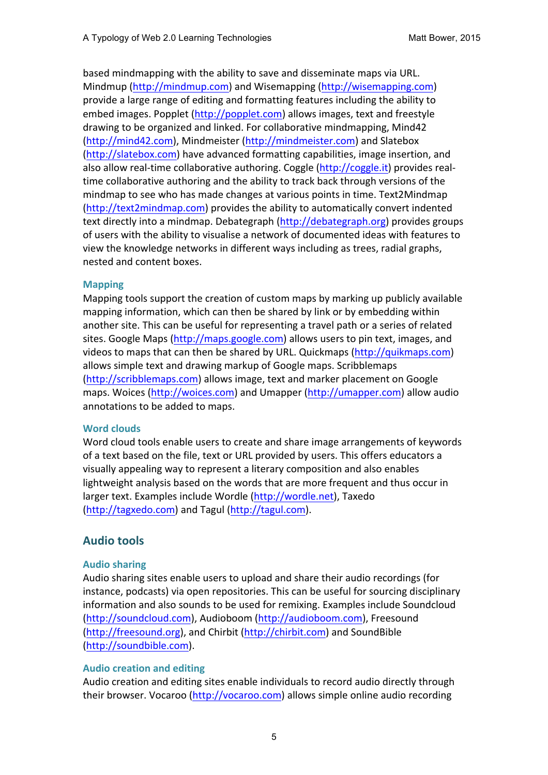based mindmapping with the ability to save and disseminate maps via URL. Mindmup (http://mindmup.com) and Wisemapping (http://wisemapping.com) provide a large range of editing and formatting features including the ability to embed images. Popplet (http://popplet.com) allows images, text and freestyle drawing to be organized and linked. For collaborative mindmapping, Mind42 (http://mind42.com), Mindmeister (http://mindmeister.com) and Slatebox (http://slatebox.com) have advanced formatting capabilities, image insertion, and also allow real-time collaborative authoring. Coggle (http://coggle.it) provides realtime collaborative authoring and the ability to track back through versions of the mindmap to see who has made changes at various points in time. Text2Mindmap (http://text2mindmap.com) provides the ability to automatically convert indented text directly into a mindmap. Debategraph (http://debategraph.org) provides groups of users with the ability to visualise a network of documented ideas with features to view the knowledge networks in different ways including as trees, radial graphs, nested and content boxes.

### **Mapping**

Mapping tools support the creation of custom maps by marking up publicly available mapping information, which can then be shared by link or by embedding within another site. This can be useful for representing a travel path or a series of related sites. Google Maps (http://maps.google.com) allows users to pin text, images, and videos to maps that can then be shared by URL. Quickmaps (http://quikmaps.com) allows simple text and drawing markup of Google maps. Scribblemaps (http://scribblemaps.com) allows image, text and marker placement on Google maps. Woices (http://woices.com) and Umapper (http://umapper.com) allow audio annotations to be added to maps.

#### **Word clouds**

Word cloud tools enable users to create and share image arrangements of keywords of a text based on the file, text or URL provided by users. This offers educators a visually appealing way to represent a literary composition and also enables lightweight analysis based on the words that are more frequent and thus occur in larger text. Examples include Wordle (http://wordle.net), Taxedo (http://tagxedo.com) and Tagul (http://tagul.com).

# **Audio tools**

### **Audio sharing**

Audio sharing sites enable users to upload and share their audio recordings (for instance, podcasts) via open repositories. This can be useful for sourcing disciplinary information and also sounds to be used for remixing. Examples include Soundcloud (http://soundcloud.com), Audioboom (http://audioboom.com), Freesound (http://freesound.org), and Chirbit (http://chirbit.com) and SoundBible (http://soundbible.com).!

### **Audio creation and editing**

Audio creation and editing sites enable individuals to record audio directly through their browser. Vocaroo (http://vocaroo.com) allows simple online audio recording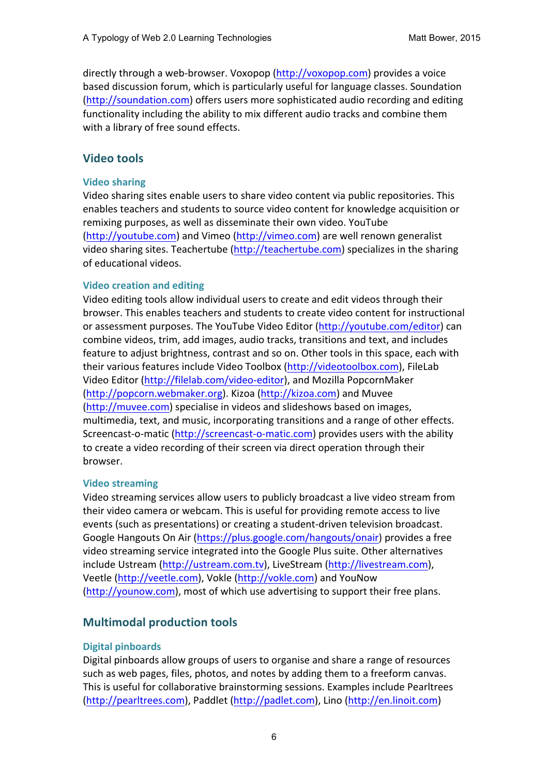directly through a web-browser. Voxopop (http://voxopop.com) provides a voice based discussion forum, which is particularly useful for language classes. Soundation (http://soundation.com) offers users more sophisticated audio recording and editing functionality including the ability to mix different audio tracks and combine them with a library of free sound effects.

# **Video tools**

### **Video sharing**

Video sharing sites enable users to share video content via public repositories. This enables teachers and students to source video content for knowledge acquisition or remixing purposes, as well as disseminate their own video. YouTube (http://youtube.com) and Vimeo (http://vimeo.com) are well renown generalist video sharing sites. Teachertube (http://teachertube.com) specializes in the sharing of educational videos.

### **Video creation and editing**

Video editing tools allow individual users to create and edit videos through their browser. This enables teachers and students to create video content for instructional or assessment purposes. The YouTube Video Editor (http://youtube.com/editor) can combine videos, trim, add images, audio tracks, transitions and text, and includes feature to adjust brightness, contrast and so on. Other tools in this space, each with their various features include Video Toolbox (http://videotoolbox.com), FileLab Video Editor (http://filelab.com/video-editor), and Mozilla PopcornMaker (http://popcorn.webmaker.org). Kizoa (http://kizoa.com) and Muvee (http://muvee.com) specialise in videos and slideshows based on images, multimedia, text, and music, incorporating transitions and a range of other effects. Screencast-o-matic (http://screencast-o-matic.com) provides users with the ability to create a video recording of their screen via direct operation through their browser.

### **Video streaming**

Video streaming services allow users to publicly broadcast a live video stream from their video camera or webcam. This is useful for providing remote access to live events (such as presentations) or creating a student-driven television broadcast. Google Hangouts On Air (https://plus.google.com/hangouts/onair) provides a free video streaming service integrated into the Google Plus suite. Other alternatives include Ustream (http://ustream.com.tv), LiveStream (http://livestream.com), Veetle (http://veetle.com), Vokle (http://vokle.com) and YouNow (http://younow.com), most of which use advertising to support their free plans.

# **Multimodal production tools**

### **Digital pinboards**

Digital pinboards allow groups of users to organise and share a range of resources such as web pages, files, photos, and notes by adding them to a freeform canvas. This is useful for collaborative brainstorming sessions. Examples include Pearltrees (http://pearltrees.com), Paddlet (http://padlet.com), Lino (http://en.linoit.com)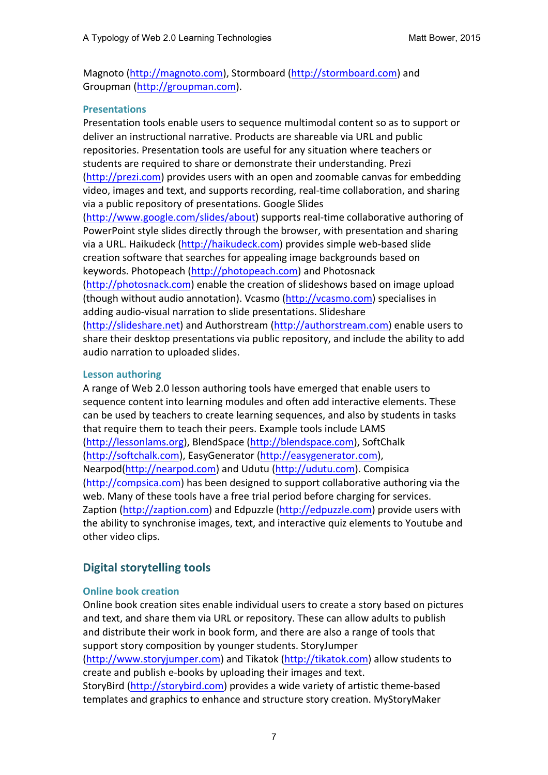Magnoto (http://magnoto.com), Stormboard (http://stormboard.com) and Groupman (http://groupman.com).

### **Presentations**

Presentation tools enable users to sequence multimodal content so as to support or deliver an instructional narrative. Products are shareable via URL and public repositories. Presentation tools are useful for any situation where teachers or students are required to share or demonstrate their understanding. Prezi  $(http://prezi.com)$  provides users with an open and zoomable canvas for embedding video, images and text, and supports recording, real-time collaboration, and sharing via a public repository of presentations. Google Slides (http://www.google.com/slides/about) supports real-time collaborative authoring of PowerPoint style slides directly through the browser, with presentation and sharing via a URL. Haikudeck (http://haikudeck.com) provides simple web-based slide creation software that searches for appealing image backgrounds based on keywords. Photopeach (http://photopeach.com) and Photosnack (http://photosnack.com) enable the creation of slideshows based on image upload (though without audio annotation). Vcasmo (http://vcasmo.com) specialises in adding audio-visual narration to slide presentations. Slideshare (http://slideshare.net) and Authorstream (http://authorstream.com) enable users to share their desktop presentations via public repository, and include the ability to add audio narration to uploaded slides.

### **Lesson authoring**

A range of Web 2.0 lesson authoring tools have emerged that enable users to sequence content into learning modules and often add interactive elements. These can be used by teachers to create learning sequences, and also by students in tasks that require them to teach their peers. Example tools include LAMS (http://lessonlams.org), BlendSpace (http://blendspace.com), SoftChalk (http://softchalk.com), EasyGenerator (http://easygenerator.com), Nearpod(http://nearpod.com) and Udutu (http://udutu.com). Compisica (http://compsica.com) has been designed to support collaborative authoring via the web. Many of these tools have a free trial period before charging for services. Zaption (http://zaption.com) and Edpuzzle (http://edpuzzle.com) provide users with the ability to synchronise images, text, and interactive quiz elements to Youtube and other video clips.

# **Digital storytelling tools**

# **Online book creation**

Online book creation sites enable individual users to create a story based on pictures and text, and share them via URL or repository. These can allow adults to publish and distribute their work in book form, and there are also a range of tools that support story composition by younger students. StoryJumper (http://www.storyjumper.com) and Tikatok (http://tikatok.com) allow students to

create and publish e-books by uploading their images and text. StoryBird (http://storybird.com) provides a wide variety of artistic theme-based templates and graphics to enhance and structure story creation. MyStoryMaker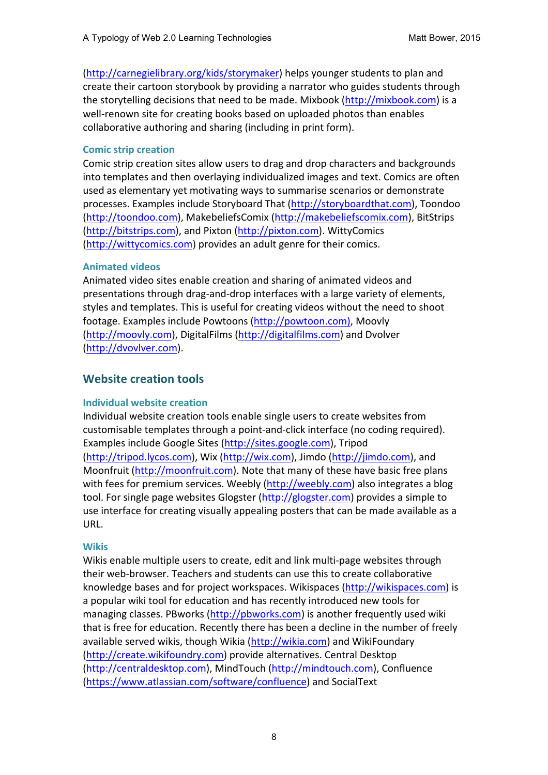(http://carnegielibrary.org/kids/storymaker) helps younger students to plan and create their cartoon storybook by providing a narrator who guides students through the storytelling decisions that need to be made. Mixbook (http://mixbook.com) is a well-renown site for creating books based on uploaded photos than enables collaborative authoring and sharing (including in print form).

### **Comic strip creation**

Comic strip creation sites allow users to drag and drop characters and backgrounds into templates and then overlaying individualized images and text. Comics are often used as elementary yet motivating ways to summarise scenarios or demonstrate processes. Examples include Storyboard That (http://storyboardthat.com), Toondoo (http://toondoo.com), MakebeliefsComix (http://makebeliefscomix.com), BitStrips (http://bitstrips.com), and Pixton (http://pixton.com). WittyComics (http://wittycomics.com) provides an adult genre for their comics.

### **Animated videos**

Animated video sites enable creation and sharing of animated videos and presentations through drag-and-drop interfaces with a large variety of elements, styles and templates. This is useful for creating videos without the need to shoot footage. Examples include Powtoons (http://powtoon.com), Moovly (http://moovly.com), DigitalFilms (http://digitalfilms.com) and Dvolver (http://dvovlver.com).

# **Website creation tools**

# **Individual website creation**

Individual website creation tools enable single users to create websites from customisable templates through a point-and-click interface (no coding required). Examples include Google Sites (http://sites.google.com), Tripod (http://tripod.lycos.com), Wix (http://wix.com), Jimdo (http://jimdo.com), and Moonfruit (http://moonfruit.com). Note that many of these have basic free plans with fees for premium services. Weebly (http://weebly.com) also integrates a blog tool. For single page websites Glogster (http://glogster.com) provides a simple to use interface for creating visually appealing posters that can be made available as a URL.

# **Wikis**

Wikis enable multiple users to create, edit and link multi-page websites through their web-browser. Teachers and students can use this to create collaborative knowledge bases and for project workspaces. Wikispaces (http://wikispaces.com) is a popular wiki tool for education and has recently introduced new tools for managing classes. PBworks (http://pbworks.com) is another frequently used wiki that is free for education. Recently there has been a decline in the number of freely available served wikis, though Wikia (http://wikia.com) and WikiFoundary (http://create.wikifoundry.com) provide alternatives. Central Desktop (http://centraldesktop.com), MindTouch (http://mindtouch.com), Confluence (https://www.atlassian.com/software/confluence) and SocialText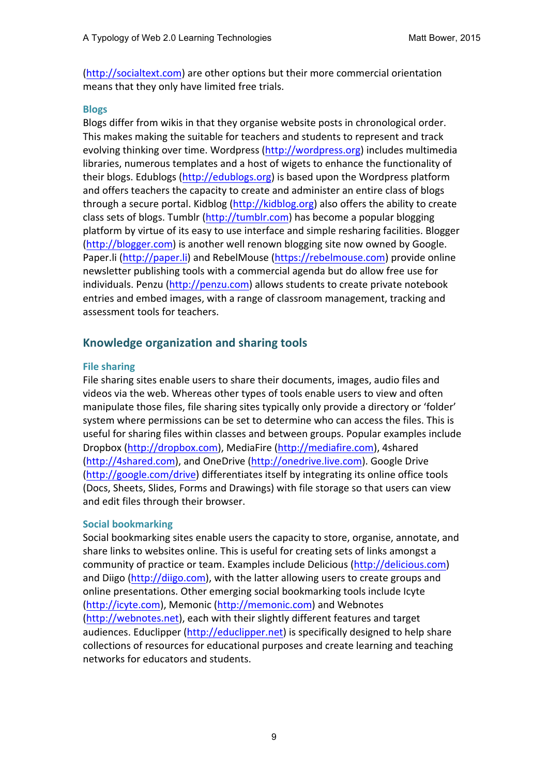(http://socialtext.com) are other options but their more commercial orientation means that they only have limited free trials.

#### **Blogs**

Blogs differ from wikis in that they organise website posts in chronological order. This makes making the suitable for teachers and students to represent and track evolving thinking over time. Wordpress (http://wordpress.org) includes multimedia libraries, numerous templates and a host of wigets to enhance the functionality of their blogs. Edublogs (http://edublogs.org) is based upon the Wordpress platform and offers teachers the capacity to create and administer an entire class of blogs through a secure portal. Kidblog (http://kidblog.org) also offers the ability to create class sets of blogs. Tumblr (http://tumblr.com) has become a popular blogging platform by virtue of its easy to use interface and simple resharing facilities. Blogger (http://blogger.com) is another well renown blogging site now owned by Google. Paper.li (http://paper.li) and RebelMouse (https://rebelmouse.com) provide online newsletter publishing tools with a commercial agenda but do allow free use for individuals. Penzu (http://penzu.com) allows students to create private notebook entries and embed images, with a range of classroom management, tracking and assessment tools for teachers.

# **Knowledge organization and sharing tools**

#### **File sharing**

File sharing sites enable users to share their documents, images, audio files and videos via the web. Whereas other types of tools enable users to view and often manipulate those files, file sharing sites typically only provide a directory or 'folder' system where permissions can be set to determine who can access the files. This is useful for sharing files within classes and between groups. Popular examples include Dropbox (http://dropbox.com), MediaFire (http://mediafire.com), 4shared (http://4shared.com), and OneDrive (http://onedrive.live.com). Google Drive (http://google.com/drive) differentiates itself by integrating its online office tools (Docs, Sheets, Slides, Forms and Drawings) with file storage so that users can view and edit files through their browser.

### **Social bookmarking**

Social bookmarking sites enable users the capacity to store, organise, annotate, and share links to websites online. This is useful for creating sets of links amongst a community of practice or team. Examples include Delicious (http://delicious.com) and Diigo (http://diigo.com), with the latter allowing users to create groups and online presentations. Other emerging social bookmarking tools include Icyte (http://icyte.com), Memonic (http://memonic.com) and Webnotes (http://webnotes.net), each with their slightly different features and target audiences. Educlipper (http://educlipper.net) is specifically designed to help share collections of resources for educational purposes and create learning and teaching networks for educators and students.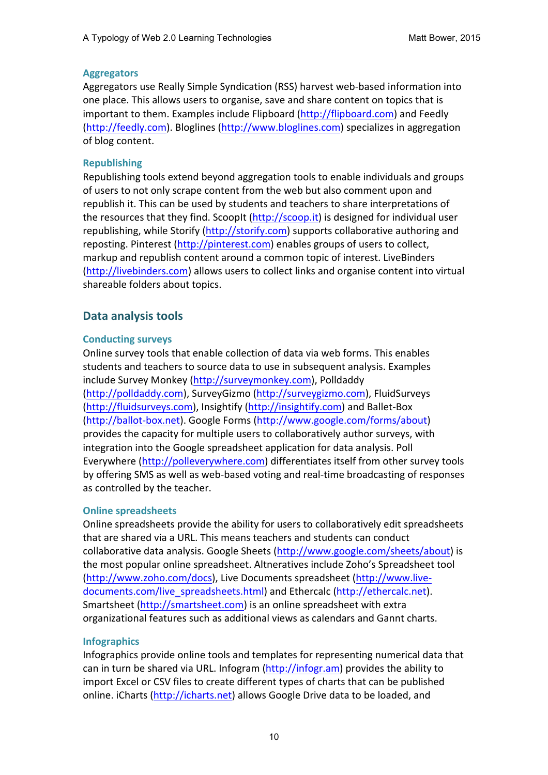### **Aggregators**

Aggregators use Really Simple Syndication (RSS) harvest web-based information into one place. This allows users to organise, save and share content on topics that is important to them. Examples include Flipboard (http://flipboard.com) and Feedly  $(http://feedback.com)$ . Bloglines  $(http://www.bloglines.com)$  specializes in aggregation of blog content.

### **Republishing**

Republishing tools extend beyond aggregation tools to enable individuals and groups of users to not only scrape content from the web but also comment upon and republish it. This can be used by students and teachers to share interpretations of the resources that they find. ScoopIt (http://scoop.it) is designed for individual user republishing, while Storify (http://storify.com) supports collaborative authoring and reposting. Pinterest (http://pinterest.com) enables groups of users to collect, markup and republish content around a common topic of interest. LiveBinders (http://livebinders.com) allows users to collect links and organise content into virtual shareable folders about topics.

# **Data analysis tools**

### **Conducting surveys**

Online survey tools that enable collection of data via web forms. This enables students and teachers to source data to use in subsequent analysis. Examples include Survey Monkey (http://surveymonkey.com), Polldaddy (http://polldaddy.com), SurveyGizmo (http://surveygizmo.com), FluidSurveys (http://fluidsurveys.com), Insightify (http://insightify.com) and Ballet-Box (http://ballot-box.net). Google Forms (http://www.google.com/forms/about) provides the capacity for multiple users to collaboratively author surveys, with integration into the Google spreadsheet application for data analysis. Poll Everywhere (http://polleverywhere.com) differentiates itself from other survey tools by offering SMS as well as web-based voting and real-time broadcasting of responses as controlled by the teacher.

### **Online spreadsheets**

Online spreadsheets provide the ability for users to collaboratively edit spreadsheets that are shared via a URL. This means teachers and students can conduct collaborative data analysis. Google Sheets (http://www.google.com/sheets/about) is the most popular online spreadsheet. Altneratives include Zoho's Spreadsheet tool (http://www.zoho.com/docs), Live Documents spreadsheet (http://www.livedocuments.com/live\_spreadsheets.html) and Ethercalc (http://ethercalc.net). Smartsheet (http://smartsheet.com) is an online spreadsheet with extra organizational features such as additional views as calendars and Gannt charts.

# **Infographics**

Infographics provide online tools and templates for representing numerical data that can in turn be shared via URL. Infogram (http://infogr.am) provides the ability to import Excel or CSV files to create different types of charts that can be published online. iCharts (http://icharts.net) allows Google Drive data to be loaded, and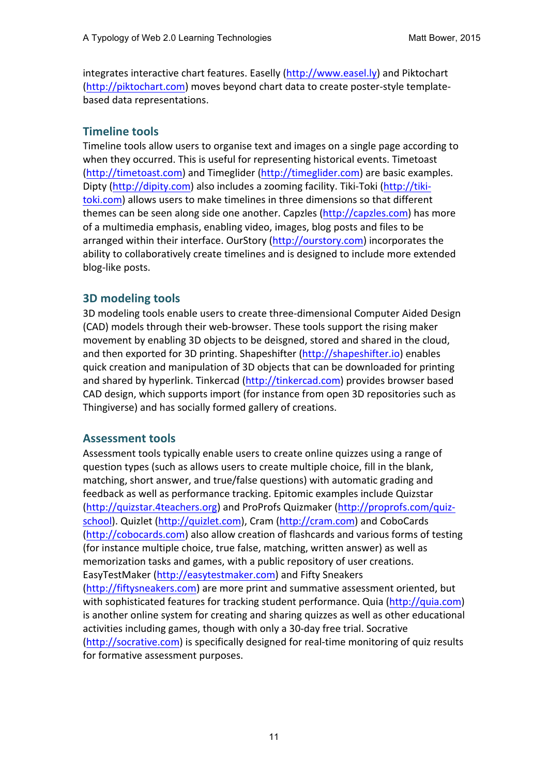integrates interactive chart features. Easelly (http://www.easel.ly) and Piktochart (http://piktochart.com) moves beyond chart data to create poster-style templatebased data representations.

# **Timeline tools**

Timeline tools allow users to organise text and images on a single page according to when they occurred. This is useful for representing historical events. Timetoast (http://timetoast.com) and Timeglider (http://timeglider.com) are basic examples. Dipty (http://dipity.com) also includes a zooming facility. Tiki-Toki (http://tikitoki.com) allows users to make timelines in three dimensions so that different themes can be seen along side one another. Capzles (http://capzles.com) has more of a multimedia emphasis, enabling video, images, blog posts and files to be arranged within their interface. OurStory (http://ourstory.com) incorporates the ability to collaboratively create timelines and is designed to include more extended blog-like posts.

# **3D modeling tools**

3D modeling tools enable users to create three-dimensional Computer Aided Design (CAD) models through their web-browser. These tools support the rising maker movement by enabling 3D objects to be deisgned, stored and shared in the cloud, and then exported for 3D printing. Shapeshifter (http://shapeshifter.io) enables quick creation and manipulation of 3D objects that can be downloaded for printing and shared by hyperlink. Tinkercad (http://tinkercad.com) provides browser based CAD design, which supports import (for instance from open 3D repositories such as Thingiverse) and has socially formed gallery of creations.

# **Assessment tools**

Assessment tools typically enable users to create online quizzes using a range of question types (such as allows users to create multiple choice, fill in the blank, matching, short answer, and true/false questions) with automatic grading and feedback as well as performance tracking. Epitomic examples include Quizstar (http://quizstar.4teachers.org) and ProProfs Quizmaker (http://proprofs.com/quizschool). Quizlet (http://quizlet.com), Cram (http://cram.com) and CoboCards (http://cobocards.com) also allow creation of flashcards and various forms of testing (for instance multiple choice, true false, matching, written answer) as well as memorization tasks and games, with a public repository of user creations. EasyTestMaker (http://easytestmaker.com) and Fifty Sneakers (http://fiftysneakers.com) are more print and summative assessment oriented, but with sophisticated features for tracking student performance. Quia (http://quia.com) is another online system for creating and sharing quizzes as well as other educational activities including games, though with only a 30-day free trial. Socrative (http://socrative.com) is specifically designed for real-time monitoring of quiz results for formative assessment purposes.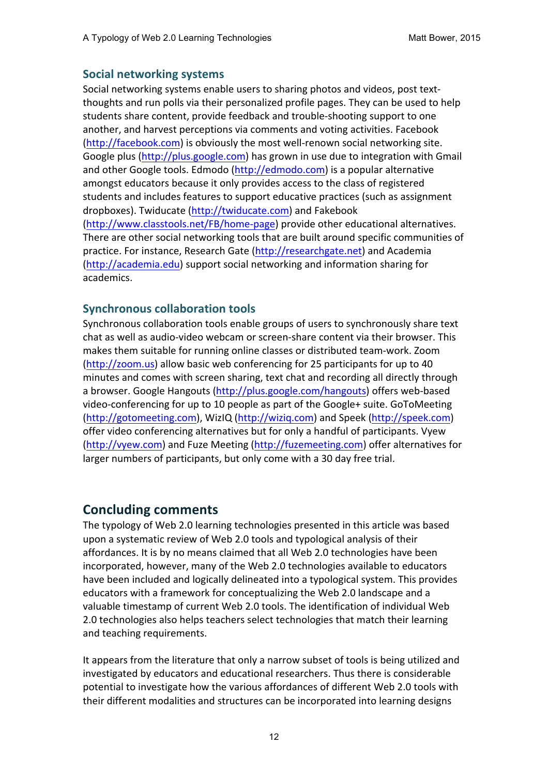# **Social networking systems**

Social networking systems enable users to sharing photos and videos, post textthoughts and run polls via their personalized profile pages. They can be used to help students share content, provide feedback and trouble-shooting support to one another, and harvest perceptions via comments and voting activities. Facebook (http://facebook.com) is obviously the most well-renown social networking site. Google plus (http://plus.google.com) has grown in use due to integration with Gmail and other Google tools. Edmodo (http://edmodo.com) is a popular alternative amongst educators because it only provides access to the class of registered students and includes features to support educative practices (such as assignment dropboxes). Twiducate (http://twiducate.com) and Fakebook  $(\text{http://www.classtools.net/FB/home-page})$  provide other educational alternatives. There are other social networking tools that are built around specific communities of practice. For instance, Research Gate (http://researchgate.net) and Academia (http://academia.edu) support social networking and information sharing for academics.

# **Synchronous collaboration tools**

Synchronous collaboration tools enable groups of users to synchronously share text chat as well as audio-video webcam or screen-share content via their browser. This makes them suitable for running online classes or distributed team-work. Zoom (http://zoom.us) allow basic web conferencing for 25 participants for up to 40 minutes and comes with screen sharing, text chat and recording all directly through a browser. Google Hangouts (http://plus.google.com/hangouts) offers web-based video-conferencing for up to 10 people as part of the Google+ suite. GoToMeeting (http://gotomeeting.com), WizIQ (http://wiziq.com) and Speek (http://speek.com) offer video conferencing alternatives but for only a handful of participants. Vyew (http://vyew.com) and Fuze Meeting (http://fuzemeeting.com) offer alternatives for larger numbers of participants, but only come with a 30 day free trial.

# **Concluding comments**

The typology of Web 2.0 learning technologies presented in this article was based upon a systematic review of Web 2.0 tools and typological analysis of their affordances. It is by no means claimed that all Web 2.0 technologies have been incorporated, however, many of the Web 2.0 technologies available to educators have been included and logically delineated into a typological system. This provides educators with a framework for conceptualizing the Web 2.0 landscape and a valuable timestamp of current Web 2.0 tools. The identification of individual Web 2.0 technologies also helps teachers select technologies that match their learning and teaching requirements.

It appears from the literature that only a narrow subset of tools is being utilized and investigated by educators and educational researchers. Thus there is considerable potential to investigate how the various affordances of different Web 2.0 tools with their different modalities and structures can be incorporated into learning designs